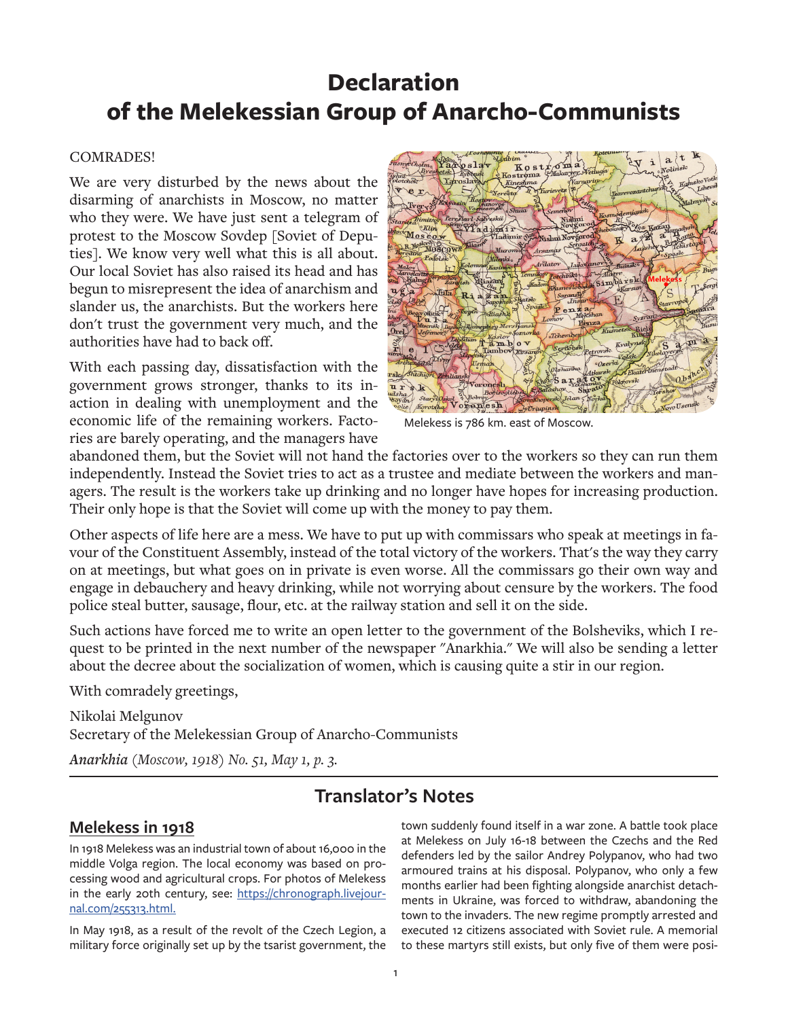# **Declaration of the Melekessian Group of Anarcho-Communists**

#### COMRADES!

We are very disturbed by the news about the disarming of anarchists in Moscow, no matter who they were. We have just sent a telegram of protest to the Moscow Sovdep [Soviet of Deputies]. We know very well what this is all about. Our local Soviet has also raised its head and has begun to misrepresent the idea of anarchism and slander us, the anarchists. But the workers here don't trust the government very much, and the authorities have had to back off.

With each passing day, dissatisfaction with the government grows stronger, thanks to its inaction in dealing with unemployment and the economic life of the remaining workers. Factories are barely operating, and the managers have



Melekess is 786 km. east of Moscow.

abandoned them, but the Soviet will not hand the factories over to the workers so they can run them independently. Instead the Soviet tries to act as a trustee and mediate between the workers and managers. The result is the workers take up drinking and no longer have hopes for increasing production. Their only hope is that the Soviet will come up with the money to pay them.

Other aspects of life here are a mess. We have to put up with commissars who speak at meetings in favour of the Constituent Assembly, instead of the total victory of the workers. That's the way they carry on at meetings, but what goes on in private is even worse. All the commissars go their own way and engage in debauchery and heavy drinking, while not worrying about censure by the workers. The food police steal butter, sausage, flour, etc. at the railway station and sell it on the side.

Such actions have forced me to write an open letter to the government of the Bolsheviks, which I request to be printed in the next number of the newspaper "Anarkhia." We will also be sending a letter about the decree about the socialization of women, which is causing quite a stir in our region.

With comradely greetings,

Nikolai Melgunov Secretary of the Melekessian Group of Anarcho-Communists

*Anarkhia (Moscow, 1918) No. 51, May 1, p. 3.*

## **Translator's Notes**

#### **Melekess in 1918**

In 1918 Melekess was an industrial town of about 16,000 in the middle Volga region. The local economy was based on processing wood and agricultural crops. For photos of Melekess in the early 20th century, see: https://chronograph.livejournal.com/255313.html.

In May 1918, as a result of the revolt of the Czech Legion, a military force originally set up by the tsarist government, the

town suddenly found itself in a war zone. A battle took place at Melekess on July 16-18 between the Czechs and the Red defenders led by the sailor Andrey Polypanov, who had two armoured trains at his disposal. Polypanov, who only a few months earlier had been fighting alongside anarchist detachments in Ukraine, was forced to withdraw, abandoning the town to the invaders. The new regime promptly arrested and executed 12 citizens associated with Soviet rule. A memorial to these martyrs still exists, but only five of them were posi